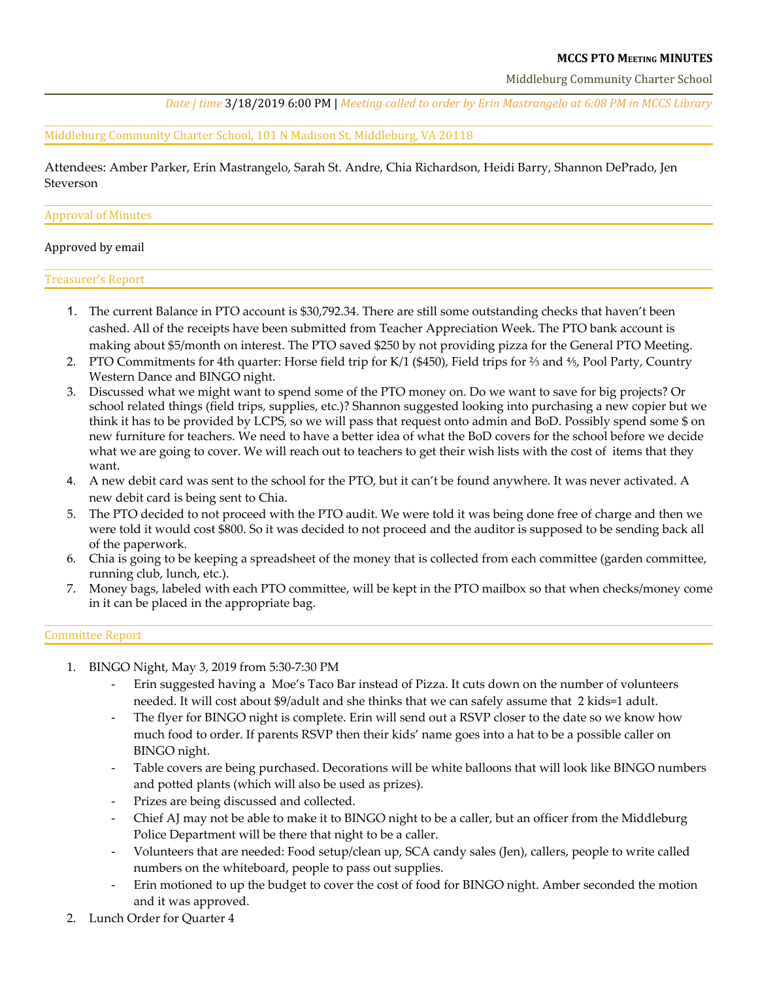### **MCCS PTO MEETING MINUTES**

Middleburg Community Charter School

*Date | time* 3/18/2019 6:00 PM | *Meeting called to order by Erin Mastrangelo at 6:08 PM in MCCS Library*

Middleburg Community Charter School, 101 N Madison St, Middleburg, VA 20118

Attendees: Amber Parker, Erin Mastrangelo, Sarah St. Andre, Chia Richardson, Heidi Barry, Shannon DePrado, Jen Steverson

#### Approval of Minutes

#### Approved by email

Treasurer's Report

- 1. The current Balance in PTO account is \$30,792.34. There are still some outstanding checks that haven't been cashed. All of the receipts have been submitted from Teacher Appreciation Week. The PTO bank account is making about \$5/month on interest. The PTO saved \$250 by not providing pizza for the General PTO Meeting.
- 2. PTO Commitments for 4th quarter: Horse field trip for K/1 (\$450), Field trips for ⅔ and ⅘, Pool Party, Country Western Dance and BINGO night.
- 3. Discussed what we might want to spend some of the PTO money on. Do we want to save for big projects? Or school related things (field trips, supplies, etc.)? Shannon suggested looking into purchasing a new copier but we think it has to be provided by LCPS, so we will pass that request onto admin and BoD. Possibly spend some \$ on new furniture for teachers. We need to have a better idea of what the BoD covers for the school before we decide what we are going to cover. We will reach out to teachers to get their wish lists with the cost of items that they want.
- 4. A new debit card was sent to the school for the PTO, but it can't be found anywhere. It was never activated. A new debit card is being sent to Chia.
- 5. The PTO decided to not proceed with the PTO audit. We were told it was being done free of charge and then we were told it would cost \$800. So it was decided to not proceed and the auditor is supposed to be sending back all of the paperwork.
- 6. Chia is going to be keeping a spreadsheet of the money that is collected from each committee (garden committee, running club, lunch, etc.).
- 7. Money bags, labeled with each PTO committee, will be kept in the PTO mailbox so that when checks/money come in it can be placed in the appropriate bag.

#### Committee Report

- 1. BINGO Night, May 3, 2019 from 5:30-7:30 PM
	- Erin suggested having a Moe's Taco Bar instead of Pizza. It cuts down on the number of volunteers needed. It will cost about \$9/adult and she thinks that we can safely assume that 2 kids=1 adult.
	- The flyer for BINGO night is complete. Erin will send out a RSVP closer to the date so we know how much food to order. If parents RSVP then their kids' name goes into a hat to be a possible caller on BINGO night.
	- Table covers are being purchased. Decorations will be white balloons that will look like BINGO numbers and potted plants (which will also be used as prizes).
	- Prizes are being discussed and collected.
	- Chief AJ may not be able to make it to BINGO night to be a caller, but an officer from the Middleburg Police Department will be there that night to be a caller.
	- Volunteers that are needed: Food setup/clean up, SCA candy sales (Jen), callers, people to write called numbers on the whiteboard, people to pass out supplies.
	- Erin motioned to up the budget to cover the cost of food for BINGO night. Amber seconded the motion and it was approved.
- Lunch Order for Quarter 4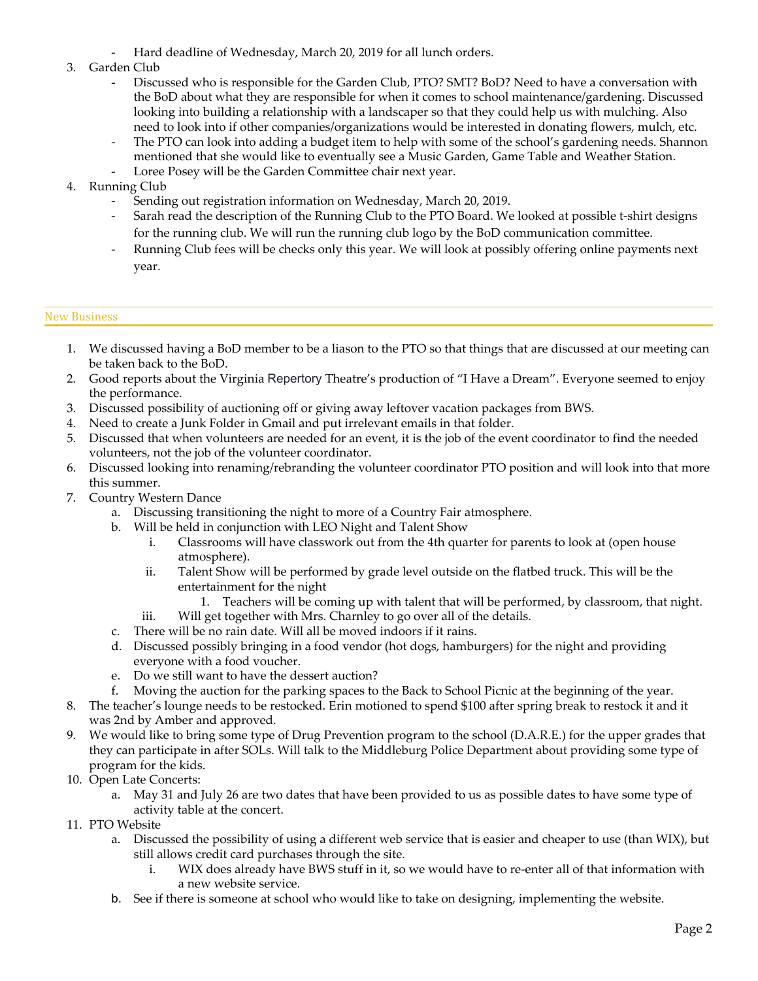Hard deadline of Wednesday, March 20, 2019 for all lunch orders.

# 3. Garden Club

- Discussed who is responsible for the Garden Club, PTO? SMT? BoD? Need to have a conversation with the BoD about what they are responsible for when it comes to school maintenance/gardening. Discussed looking into building a relationship with a landscaper so that they could help us with mulching. Also need to look into if other companies/organizations would be interested in donating flowers, mulch, etc.
- The PTO can look into adding a budget item to help with some of the school's gardening needs. Shannon mentioned that she would like to eventually see a Music Garden, Game Table and Weather Station.
- Loree Posey will be the Garden Committee chair next year.
- 4. Running Club
	- Sending out registration information on Wednesday, March 20, 2019.
	- Sarah read the description of the Running Club to the PTO Board. We looked at possible t-shirt designs for the running club. We will run the running club logo by the BoD communication committee.
	- Running Club fees will be checks only this year. We will look at possibly offering online payments next year.

# New Business

- 1. We discussed having a BoD member to be a liason to the PTO so that things that are discussed at our meeting can be taken back to the BoD.
- 2. Good reports about the Virginia Repertory Theatre's production of "I Have a Dream". Everyone seemed to enjoy the performance.
- 3. Discussed possibility of auctioning off or giving away leftover vacation packages from BWS.
- 4. Need to create a Junk Folder in Gmail and put irrelevant emails in that folder.
- 5. Discussed that when volunteers are needed for an event, it is the job of the event coordinator to find the needed volunteers, not the job of the volunteer coordinator.
- 6. Discussed looking into renaming/rebranding the volunteer coordinator PTO position and will look into that more this summer.
- 7. Country Western Dance
	- a. Discussing transitioning the night to more of a Country Fair atmosphere.
	- b. Will be held in conjunction with LEO Night and Talent Show
		- i. Classrooms will have classwork out from the 4th quarter for parents to look at (open house atmosphere).
		- ii. Talent Show will be performed by grade level outside on the flatbed truck. This will be the entertainment for the night
			- 1. Teachers will be coming up with talent that will be performed, by classroom, that night.
		- iii. Will get together with Mrs. Charnley to go over all of the details.
	- c. There will be no rain date. Will all be moved indoors if it rains.
	- d. Discussed possibly bringing in a food vendor (hot dogs, hamburgers) for the night and providing everyone with a food voucher.
	- e. Do we still want to have the dessert auction?
	- f. Moving the auction for the parking spaces to the Back to School Picnic at the beginning of the year.
- 8. The teacher's lounge needs to be restocked. Erin motioned to spend \$100 after spring break to restock it and it was 2nd by Amber and approved.
- 9. We would like to bring some type of Drug Prevention program to the school (D.A.R.E.) for the upper grades that they can participate in after SOLs. Will talk to the Middleburg Police Department about providing some type of program for the kids.
- 10. Open Late Concerts:
	- a. May 31 and July 26 are two dates that have been provided to us as possible dates to have some type of activity table at the concert.
- 11. PTO Website
	- a. Discussed the possibility of using a different web service that is easier and cheaper to use (than WIX), but still allows credit card purchases through the site.
		- i. WIX does already have BWS stuff in it, so we would have to re-enter all of that information with a new website service.
	- b. See if there is someone at school who would like to take on designing, implementing the website.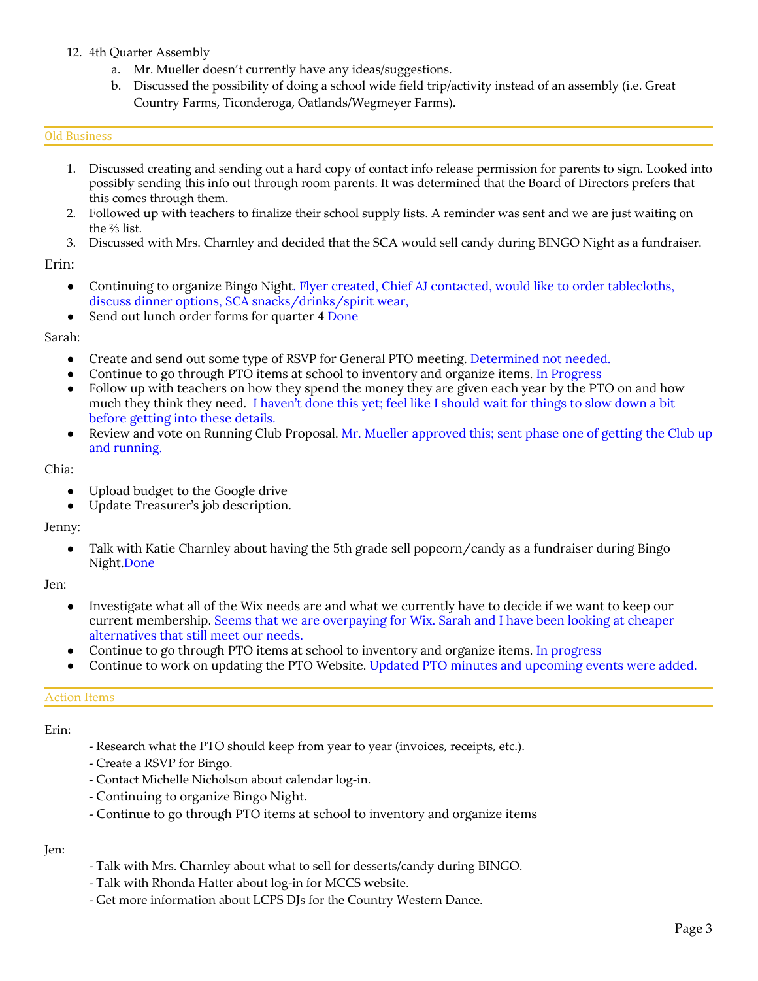# 12. 4th Quarter Assembly

- a. Mr. Mueller doesn't currently have any ideas/suggestions.
- b. Discussed the possibility of doing a school wide field trip/activity instead of an assembly (i.e. Great Country Farms, Ticonderoga, Oatlands/Wegmeyer Farms).

#### Old Business

- 1. Discussed creating and sending out a hard copy of contact info release permission for parents to sign. Looked into possibly sending this info out through room parents. It was determined that the Board of Directors prefers that this comes through them.
- 2. Followed up with teachers to finalize their school supply lists. A reminder was sent and we are just waiting on the ⅔ list.
- 3. Discussed with Mrs. Charnley and decided that the SCA would sell candy during BINGO Night as a fundraiser.

Erin:

- Continuing to organize Bingo Night. Flyer created, Chief AJ contacted, would like to order tablecloths, discuss dinner options, SCA snacks/drinks/spirit wear,
- Send out lunch order forms for quarter 4 Done

Sarah:

- Create and send out some type of RSVP for General PTO meeting. Determined not needed.
- Continue to go through PTO items at school to inventory and organize items. In Progress
- Follow up with teachers on how they spend the money they are given each year by the PTO on and how much they think they need. I haven't done this yet; feel like I should wait for things to slow down a bit before getting into these details.
- Review and vote on Running Club Proposal. Mr. Mueller approved this; sent phase one of getting the Club up and running.

Chia:

- Upload budget to the Google drive
- Update Treasurer's job description.

Jenny:

• Talk with Katie Charnley about having the 5th grade sell popcorn/candy as a fundraiser during Bingo Night.Done

Jen:

- Investigate what all of the Wix needs are and what we currently have to decide if we want to keep our current membership. Seems that we are overpaying for Wix. Sarah and I have been looking at cheaper alternatives that still meet our needs.
- Continue to go through PTO items at school to inventory and organize items. In progress
- Continue to work on updating the PTO Website. Updated PTO minutes and upcoming events were added.

#### Action Items

Erin:

- Research what the PTO should keep from year to year (invoices, receipts, etc.).
- Create a RSVP for Bingo.
- Contact Michelle Nicholson about calendar log-in.
- Continuing to organize Bingo Night.
- Continue to go through PTO items at school to inventory and organize items

Jen:

- Talk with Mrs. Charnley about what to sell for desserts/candy during BINGO.
- Talk with Rhonda Hatter about log-in for MCCS website.
- Get more information about LCPS DJs for the Country Western Dance.